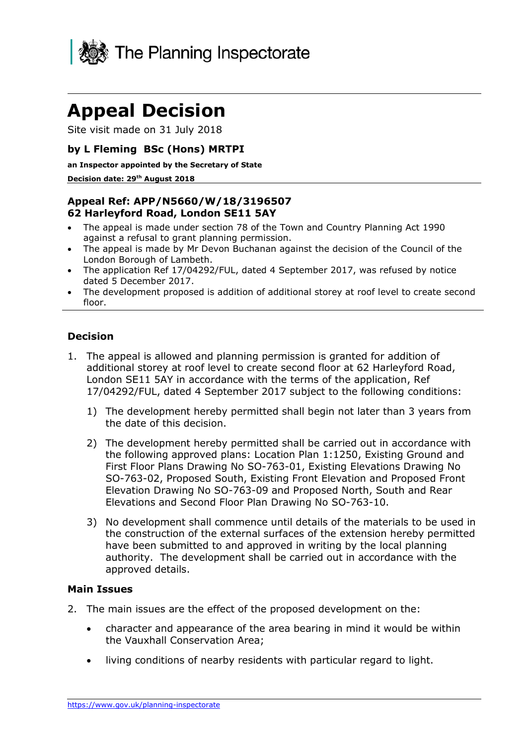

# **Appeal Decision**

Site visit made on 31 July 2018

## **by L Fleming BSc (Hons) MRTPI**

**an Inspector appointed by the Secretary of State**

#### **Decision date: 29th August 2018**

# **Appeal Ref: APP/N5660/W/18/3196507 62 Harleyford Road, London SE11 5AY**

- The appeal is made under section 78 of the Town and Country Planning Act 1990 against a refusal to grant planning permission.
- The appeal is made by Mr Devon Buchanan against the decision of the Council of the London Borough of Lambeth.
- The application Ref 17/04292/FUL, dated 4 September 2017, was refused by notice dated 5 December 2017.
- The development proposed is addition of additional storey at roof level to create second floor.

## **Decision**

- 1. The appeal is allowed and planning permission is granted for addition of additional storey at roof level to create second floor at 62 Harleyford Road, London SE11 5AY in accordance with the terms of the application, Ref 17/04292/FUL, dated 4 September 2017 subject to the following conditions:
	- 1) The development hereby permitted shall begin not later than 3 years from the date of this decision.
	- 2) The development hereby permitted shall be carried out in accordance with the following approved plans: Location Plan 1:1250, Existing Ground and First Floor Plans Drawing No SO-763-01, Existing Elevations Drawing No SO-763-02, Proposed South, Existing Front Elevation and Proposed Front Elevation Drawing No SO-763-09 and Proposed North, South and Rear Elevations and Second Floor Plan Drawing No SO-763-10.
	- 3) No development shall commence until details of the materials to be used in the construction of the external surfaces of the extension hereby permitted have been submitted to and approved in writing by the local planning authority. The development shall be carried out in accordance with the approved details.

#### **Main Issues**

- 2. The main issues are the effect of the proposed development on the:
	- character and appearance of the area bearing in mind it would be within the Vauxhall Conservation Area;
	- living conditions of nearby residents with particular regard to light.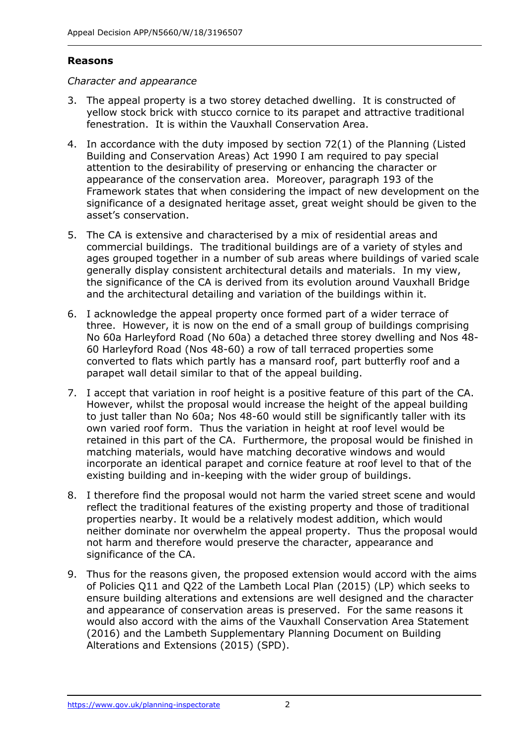# **Reasons**

#### *Character and appearance*

- 3. The appeal property is a two storey detached dwelling. It is constructed of yellow stock brick with stucco cornice to its parapet and attractive traditional fenestration. It is within the Vauxhall Conservation Area.
- 4. In accordance with the duty imposed by section 72(1) of the Planning (Listed Building and Conservation Areas) Act 1990 I am required to pay special attention to the desirability of preserving or enhancing the character or appearance of the conservation area. Moreover, paragraph 193 of the Framework states that when considering the impact of new development on the significance of a designated heritage asset, great weight should be given to the asset's conservation.
- 5. The CA is extensive and characterised by a mix of residential areas and commercial buildings. The traditional buildings are of a variety of styles and ages grouped together in a number of sub areas where buildings of varied scale generally display consistent architectural details and materials. In my view, the significance of the CA is derived from its evolution around Vauxhall Bridge and the architectural detailing and variation of the buildings within it.
- 6. I acknowledge the appeal property once formed part of a wider terrace of three. However, it is now on the end of a small group of buildings comprising No 60a Harleyford Road (No 60a) a detached three storey dwelling and Nos 48- 60 Harleyford Road (Nos 48-60) a row of tall terraced properties some converted to flats which partly has a mansard roof, part butterfly roof and a parapet wall detail similar to that of the appeal building.
- 7. I accept that variation in roof height is a positive feature of this part of the CA. However, whilst the proposal would increase the height of the appeal building to just taller than No 60a; Nos 48-60 would still be significantly taller with its own varied roof form. Thus the variation in height at roof level would be retained in this part of the CA. Furthermore, the proposal would be finished in matching materials, would have matching decorative windows and would incorporate an identical parapet and cornice feature at roof level to that of the existing building and in-keeping with the wider group of buildings.
- 8. I therefore find the proposal would not harm the varied street scene and would reflect the traditional features of the existing property and those of traditional properties nearby. It would be a relatively modest addition, which would neither dominate nor overwhelm the appeal property. Thus the proposal would not harm and therefore would preserve the character, appearance and significance of the CA.
- 9. Thus for the reasons given, the proposed extension would accord with the aims of Policies Q11 and Q22 of the Lambeth Local Plan (2015) (LP) which seeks to ensure building alterations and extensions are well designed and the character and appearance of conservation areas is preserved. For the same reasons it would also accord with the aims of the Vauxhall Conservation Area Statement (2016) and the Lambeth Supplementary Planning Document on Building Alterations and Extensions (2015) (SPD).